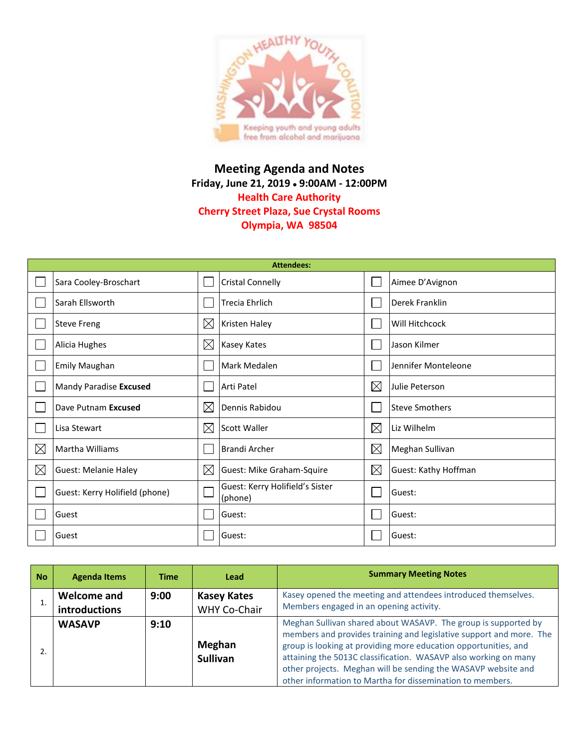

## **Meeting Agenda and Notes Friday, June 21, 2019 9:00AM - 12:00PM Health Care Authority Cherry Street Plaza, Sue Crystal Rooms Olympia, WA 98504**

| <b>Attendees:</b> |                                |             |                                            |             |                       |  |  |
|-------------------|--------------------------------|-------------|--------------------------------------------|-------------|-----------------------|--|--|
|                   | Sara Cooley-Broschart          |             | <b>Cristal Connelly</b>                    |             | Aimee D'Avignon       |  |  |
|                   | Sarah Ellsworth                |             | <b>Trecia Ehrlich</b>                      |             | Derek Franklin        |  |  |
|                   | <b>Steve Freng</b>             | $\boxtimes$ | Kristen Haley                              |             | Will Hitchcock        |  |  |
|                   | Alicia Hughes                  | $\boxtimes$ | Kasey Kates                                |             | Jason Kilmer          |  |  |
|                   | <b>Emily Maughan</b>           |             | Mark Medalen                               |             | Jennifer Monteleone   |  |  |
|                   | Mandy Paradise Excused         |             | Arti Patel                                 | $\boxtimes$ | Julie Peterson        |  |  |
|                   | Dave Putnam Excused            | $\boxtimes$ | Dennis Rabidou                             |             | <b>Steve Smothers</b> |  |  |
|                   | Lisa Stewart                   | $\boxtimes$ | <b>Scott Waller</b>                        | $\boxtimes$ | Liz Wilhelm           |  |  |
| $\boxtimes$       | Martha Williams                |             | <b>Brandi Archer</b>                       | $\boxtimes$ | Meghan Sullivan       |  |  |
| $\boxtimes$       | <b>Guest: Melanie Haley</b>    | $\boxtimes$ | Guest: Mike Graham-Squire                  | $\boxtimes$ | Guest: Kathy Hoffman  |  |  |
|                   | Guest: Kerry Holifield (phone) |             | Guest: Kerry Holifield's Sister<br>(phone) |             | Guest:                |  |  |
|                   | Guest                          |             | Guest:                                     |             | Guest:                |  |  |
|                   | Guest                          |             | Guest:                                     |             | Guest:                |  |  |

| <b>No</b> | <b>Agenda Items</b>          | Time | Lead                               | <b>Summary Meeting Notes</b>                                                                                                                                                                                                                                                                                                                                                                              |
|-----------|------------------------------|------|------------------------------------|-----------------------------------------------------------------------------------------------------------------------------------------------------------------------------------------------------------------------------------------------------------------------------------------------------------------------------------------------------------------------------------------------------------|
|           | Welcome and<br>introductions | 9:00 | <b>Kasey Kates</b><br>WHY Co-Chair | Kasey opened the meeting and attendees introduced themselves.<br>Members engaged in an opening activity.                                                                                                                                                                                                                                                                                                  |
|           | <b>WASAVP</b>                | 9:10 | Meghan<br><b>Sullivan</b>          | Meghan Sullivan shared about WASAVP. The group is supported by<br>members and provides training and legislative support and more. The<br>group is looking at providing more education opportunities, and<br>attaining the 5013C classification. WASAVP also working on many<br>other projects. Meghan will be sending the WASAVP website and<br>other information to Martha for dissemination to members. |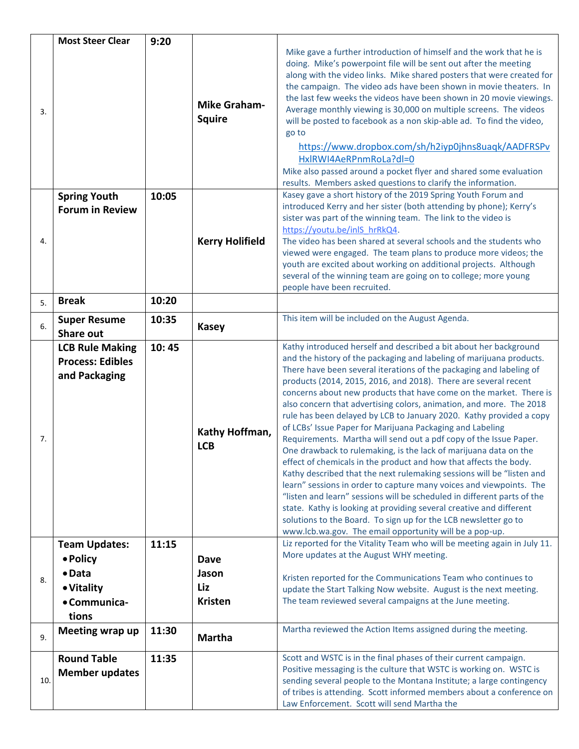|     | <b>Most Steer Clear</b>                                            | 9:20  |                                               |                                                                                                                                                                                                                                                                                                                                                                                                                                                                                                                                                                                                                                                                                                                                                                                                                                                                                                                                                                                                                                                                                                                                                                                                                    |  |  |  |
|-----|--------------------------------------------------------------------|-------|-----------------------------------------------|--------------------------------------------------------------------------------------------------------------------------------------------------------------------------------------------------------------------------------------------------------------------------------------------------------------------------------------------------------------------------------------------------------------------------------------------------------------------------------------------------------------------------------------------------------------------------------------------------------------------------------------------------------------------------------------------------------------------------------------------------------------------------------------------------------------------------------------------------------------------------------------------------------------------------------------------------------------------------------------------------------------------------------------------------------------------------------------------------------------------------------------------------------------------------------------------------------------------|--|--|--|
| 3.  | <b>Spring Youth</b>                                                | 10:05 | <b>Mike Graham-</b><br><b>Squire</b>          | Mike gave a further introduction of himself and the work that he is<br>doing. Mike's powerpoint file will be sent out after the meeting<br>along with the video links. Mike shared posters that were created for<br>the campaign. The video ads have been shown in movie theaters. In<br>the last few weeks the videos have been shown in 20 movie viewings.<br>Average monthly viewing is 30,000 on multiple screens. The videos<br>will be posted to facebook as a non skip-able ad. To find the video,<br>go to<br>https://www.dropbox.com/sh/h2iyp0jhns8uaqk/AADFRSPv<br>HxlRWI4AeRPnmRoLa?dl=0<br>Mike also passed around a pocket flyer and shared some evaluation<br>results. Members asked questions to clarify the information.<br>Kasey gave a short history of the 2019 Spring Youth Forum and                                                                                                                                                                                                                                                                                                                                                                                                          |  |  |  |
|     | <b>Forum in Review</b>                                             |       |                                               | introduced Kerry and her sister (both attending by phone); Kerry's                                                                                                                                                                                                                                                                                                                                                                                                                                                                                                                                                                                                                                                                                                                                                                                                                                                                                                                                                                                                                                                                                                                                                 |  |  |  |
|     |                                                                    |       |                                               | sister was part of the winning team. The link to the video is<br>https://youtu.be/inlS hrRkQ4.                                                                                                                                                                                                                                                                                                                                                                                                                                                                                                                                                                                                                                                                                                                                                                                                                                                                                                                                                                                                                                                                                                                     |  |  |  |
| 4.  |                                                                    |       | <b>Kerry Holifield</b>                        | The video has been shared at several schools and the students who<br>viewed were engaged. The team plans to produce more videos; the<br>youth are excited about working on additional projects. Although<br>several of the winning team are going on to college; more young<br>people have been recruited.                                                                                                                                                                                                                                                                                                                                                                                                                                                                                                                                                                                                                                                                                                                                                                                                                                                                                                         |  |  |  |
| 5.  | <b>Break</b>                                                       | 10:20 |                                               |                                                                                                                                                                                                                                                                                                                                                                                                                                                                                                                                                                                                                                                                                                                                                                                                                                                                                                                                                                                                                                                                                                                                                                                                                    |  |  |  |
| 6.  | <b>Super Resume</b><br><b>Share out</b>                            | 10:35 | <b>Kasey</b>                                  | This item will be included on the August Agenda.                                                                                                                                                                                                                                                                                                                                                                                                                                                                                                                                                                                                                                                                                                                                                                                                                                                                                                                                                                                                                                                                                                                                                                   |  |  |  |
| 7.  | <b>LCB Rule Making</b><br><b>Process: Edibles</b><br>and Packaging | 10:45 | Kathy Hoffman,<br><b>LCB</b>                  | Kathy introduced herself and described a bit about her background<br>and the history of the packaging and labeling of marijuana products.<br>There have been several iterations of the packaging and labeling of<br>products (2014, 2015, 2016, and 2018). There are several recent<br>concerns about new products that have come on the market. There is<br>also concern that advertising colors, animation, and more. The 2018<br>rule has been delayed by LCB to January 2020. Kathy provided a copy<br>of LCBs' Issue Paper for Marijuana Packaging and Labeling<br>Requirements. Martha will send out a pdf copy of the Issue Paper.<br>One drawback to rulemaking, is the lack of marijuana data on the<br>effect of chemicals in the product and how that affects the body.<br>Kathy described that the next rulemaking sessions will be "listen and<br>learn" sessions in order to capture many voices and viewpoints. The<br>"listen and learn" sessions will be scheduled in different parts of the<br>state. Kathy is looking at providing several creative and different<br>solutions to the Board. To sign up for the LCB newsletter go to<br>www.lcb.wa.gov. The email opportunity will be a pop-up. |  |  |  |
|     | <b>Team Updates:</b>                                               | 11:15 |                                               | Liz reported for the Vitality Team who will be meeting again in July 11.                                                                                                                                                                                                                                                                                                                                                                                                                                                                                                                                                                                                                                                                                                                                                                                                                                                                                                                                                                                                                                                                                                                                           |  |  |  |
| 8.  | • Policy<br>$\bullet$ Data<br>• Vitality<br>• Communica-<br>tions  |       | <b>Dave</b><br>Jason<br>Liz<br><b>Kristen</b> | More updates at the August WHY meeting.<br>Kristen reported for the Communications Team who continues to<br>update the Start Talking Now website. August is the next meeting.<br>The team reviewed several campaigns at the June meeting.                                                                                                                                                                                                                                                                                                                                                                                                                                                                                                                                                                                                                                                                                                                                                                                                                                                                                                                                                                          |  |  |  |
| 9.  | Meeting wrap up                                                    | 11:30 | <b>Martha</b>                                 | Martha reviewed the Action Items assigned during the meeting.                                                                                                                                                                                                                                                                                                                                                                                                                                                                                                                                                                                                                                                                                                                                                                                                                                                                                                                                                                                                                                                                                                                                                      |  |  |  |
| 10. | <b>Round Table</b><br><b>Member updates</b>                        | 11:35 |                                               | Scott and WSTC is in the final phases of their current campaign.<br>Positive messaging is the culture that WSTC is working on. WSTC is<br>sending several people to the Montana Institute; a large contingency<br>of tribes is attending. Scott informed members about a conference on<br>Law Enforcement. Scott will send Martha the                                                                                                                                                                                                                                                                                                                                                                                                                                                                                                                                                                                                                                                                                                                                                                                                                                                                              |  |  |  |